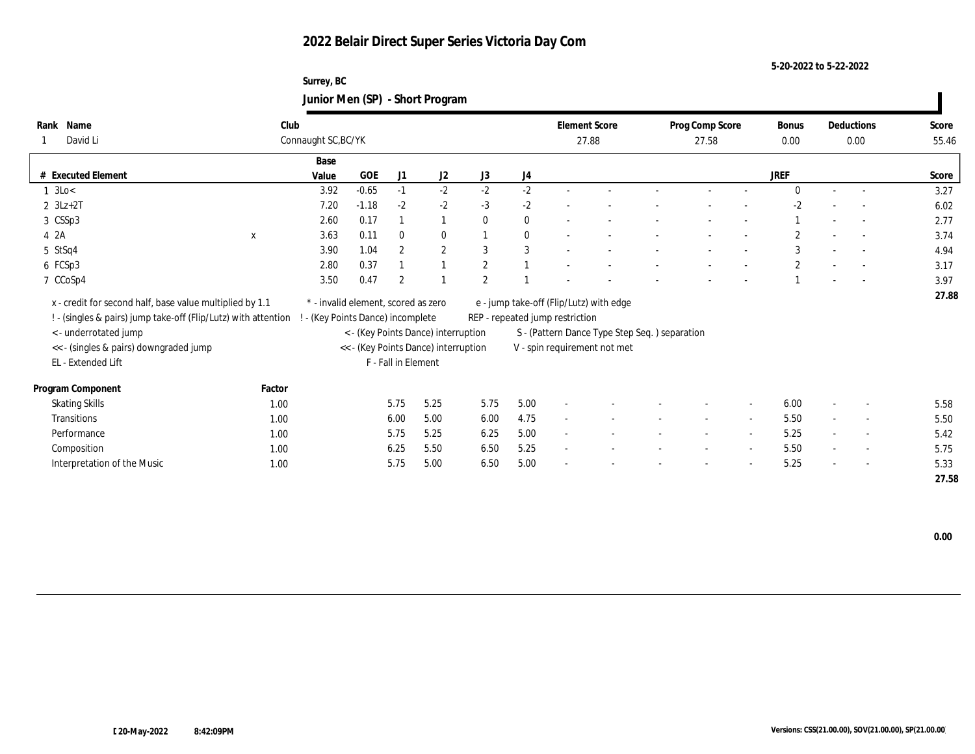**Surrey, BC Junior Men (SP) - Short Program**

| Name<br>Rank                                                   | Club                                |                                   |         |                     |                                      |                |              | <b>Element Score</b>                    |                                               |  | Prog Comp Score          |                          | <b>Bonus</b> |                          | Deductions               | Score |  |
|----------------------------------------------------------------|-------------------------------------|-----------------------------------|---------|---------------------|--------------------------------------|----------------|--------------|-----------------------------------------|-----------------------------------------------|--|--------------------------|--------------------------|--------------|--------------------------|--------------------------|-------|--|
| David Li                                                       |                                     | Connaught SC, BC/YK               |         |                     |                                      |                |              | 27.88                                   |                                               |  | 27.58                    |                          | 0.00         |                          | 0.00                     | 55.46 |  |
|                                                                |                                     | Base                              |         |                     |                                      |                |              |                                         |                                               |  |                          |                          |              |                          |                          |       |  |
| # Executed Element                                             |                                     | Value                             | GOE     | J1                  | J2                                   | J3             | J4           |                                         |                                               |  |                          |                          | JREF         |                          |                          | Score |  |
| $1 \text{ } 3 \text{Lo} <$                                     |                                     | 3.92                              | $-0.65$ | $-1$                | $-2$                                 | $-2$           | $-2$         |                                         |                                               |  |                          |                          | $\Omega$     |                          | $\sim$                   | 3.27  |  |
| $2 \text{ } 3Lz+2T$                                            |                                     | 7.20                              | $-1.18$ | $-2$                | $-2$                                 | $-3$           | $-2$         |                                         |                                               |  |                          |                          | $-2$         |                          |                          | 6.02  |  |
| 3 CSSp3                                                        |                                     | 2.60                              | 0.17    |                     | $\overline{1}$                       | $\Omega$       | $\mathbf{0}$ |                                         |                                               |  |                          |                          |              |                          | $\sim$                   | 2.77  |  |
| 4 2A                                                           | $\mathbf{x}$                        | 3.63                              | 0.11    | $\mathbf{0}$        | $\mathbf{0}$                         |                | $\mathbf{0}$ |                                         |                                               |  |                          |                          | $\mathbf{2}$ |                          | $\overline{\phantom{a}}$ | 3.74  |  |
| 5 StSq4                                                        |                                     | 3.90                              | 1.04    | $\overline{2}$      | $\mathbf{2}$                         | 3              | 3            |                                         |                                               |  |                          |                          | 3            | $\sim$                   | $\overline{\phantom{a}}$ | 4.94  |  |
| 6 FCSp3                                                        |                                     | 2.80                              | 0.37    |                     |                                      | $\overline{2}$ |              |                                         |                                               |  |                          |                          | $\mathbf{2}$ |                          | $\sim$                   | 3.17  |  |
| 7 CCoSp4                                                       |                                     | 3.50                              | 0.47    | $\overline{2}$      |                                      | $\overline{2}$ |              |                                         |                                               |  |                          |                          |              |                          | $\sim$                   | 3.97  |  |
| x - credit for second half, base value multiplied by 1.1       | * - invalid element, scored as zero |                                   |         |                     |                                      |                |              | e - jump take-off (Flip/Lutz) with edge |                                               |  |                          |                          |              |                          | 27.88                    |       |  |
| ! - (singles & pairs) jump take-off (Flip/Lutz) with attention |                                     | ! - (Key Points Dance) incomplete |         |                     |                                      |                |              | REP - repeated jump restriction         |                                               |  |                          |                          |              |                          |                          |       |  |
| < - underrotated jump                                          |                                     |                                   |         |                     | < - (Key Points Dance) interruption  |                |              |                                         | S - (Pattern Dance Type Step Seq.) separation |  |                          |                          |              |                          |                          |       |  |
| << - (singles & pairs) downgraded jump                         |                                     |                                   |         |                     | << - (Key Points Dance) interruption |                |              | V - spin requirement not met            |                                               |  |                          |                          |              |                          |                          |       |  |
| EL - Extended Lift                                             |                                     |                                   |         | F - Fall in Element |                                      |                |              |                                         |                                               |  |                          |                          |              |                          |                          |       |  |
|                                                                |                                     |                                   |         |                     |                                      |                |              |                                         |                                               |  |                          |                          |              |                          |                          |       |  |
| Program Component                                              | Factor                              |                                   |         |                     |                                      |                |              |                                         |                                               |  |                          |                          |              |                          |                          |       |  |
| <b>Skating Skills</b>                                          | 1.00                                |                                   |         | 5.75                | 5.25                                 | 5.75           | 5.00         |                                         |                                               |  |                          | $\overline{\phantom{a}}$ | 6.00         |                          |                          | 5.58  |  |
| <b>Transitions</b>                                             | 1.00                                |                                   |         | 6.00                | 5.00                                 | 6.00           | 4.75         | $\overline{\phantom{a}}$                |                                               |  | $\overline{\phantom{a}}$ | $\sim$                   | 5.50         | $\sim$                   | $\sim$                   | 5.50  |  |
| Performance                                                    | 1.00                                |                                   |         | 5.75                | 5.25                                 | 6.25           | 5.00         |                                         |                                               |  |                          | $\overline{\phantom{a}}$ | 5.25         |                          | $\overline{a}$           | 5.42  |  |
| Composition                                                    | 1.00                                |                                   |         | 6.25                | 5.50                                 | 6.50           | 5.25         |                                         |                                               |  |                          | $\overline{\phantom{a}}$ | 5.50         |                          | $\overline{\phantom{a}}$ | 5.75  |  |
| Interpretation of the Music                                    | 1.00                                |                                   |         | 5.75                | 5.00                                 | 6.50           | 5.00         |                                         |                                               |  |                          | $\overline{\phantom{a}}$ | 5.25         | $\overline{\phantom{a}}$ | $\sim$                   | 5.33  |  |
|                                                                |                                     |                                   |         |                     |                                      |                |              |                                         |                                               |  |                          |                          |              |                          |                          | 27.58 |  |

 **0.00**

ı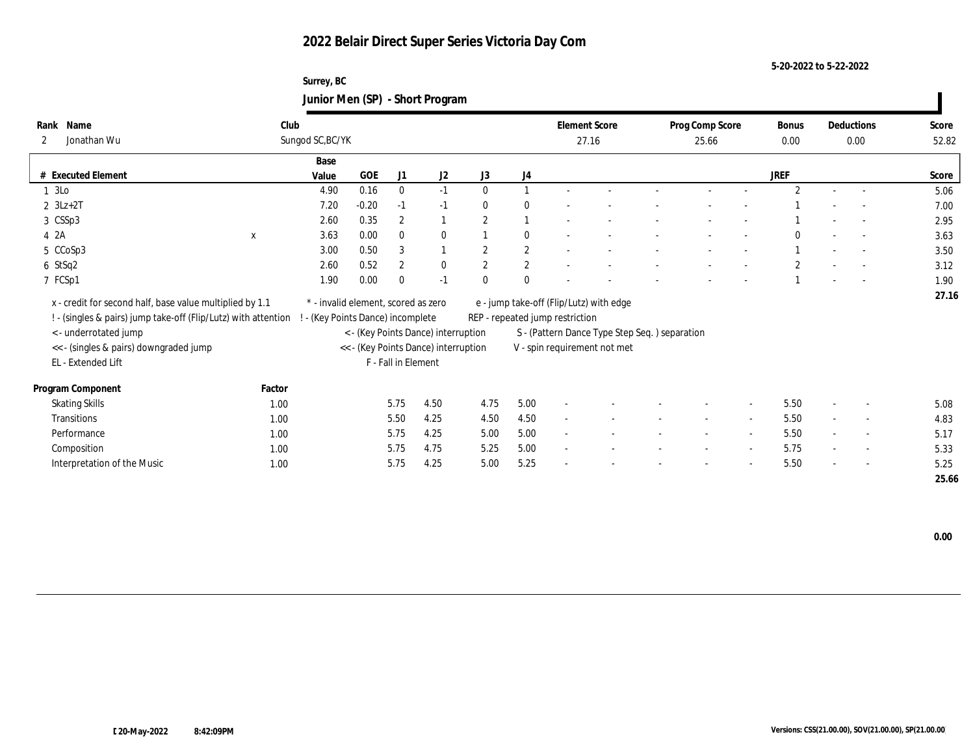**Surrey, BC Junior Men (SP) - Short Program**

| Name<br>Rank                                                   | Club                                |                                   |                     |                |                                      |               |                  | <b>Element Score</b>                    |                                               |  | Prog Comp Score          |                          | Bonus          |        | Deductions               | Score |  |
|----------------------------------------------------------------|-------------------------------------|-----------------------------------|---------------------|----------------|--------------------------------------|---------------|------------------|-----------------------------------------|-----------------------------------------------|--|--------------------------|--------------------------|----------------|--------|--------------------------|-------|--|
| Jonathan Wu<br>$\mathbf{2}$                                    |                                     | Sungod SC, BC/YK                  |                     |                |                                      |               |                  |                                         | 27.16                                         |  | 25.66                    |                          |                | 0.00   |                          | 52.82 |  |
|                                                                |                                     | Base                              |                     |                |                                      |               |                  |                                         |                                               |  |                          |                          |                |        |                          |       |  |
| # Executed Element                                             |                                     | Value                             | GOE                 | J1             | J <sub>2</sub>                       | J3            | J4               |                                         |                                               |  |                          |                          | <b>JREF</b>    |        |                          | Score |  |
| 1 3Lo                                                          |                                     | 4.90                              | 0.16                | $\bf{0}$       | $-1$                                 | $\theta$      |                  |                                         |                                               |  |                          |                          | $\mathfrak{D}$ | $\sim$ | $\sim$                   | 5.06  |  |
| $2 \text{ } 3Lz+2T$                                            |                                     | 7.20                              | $-0.20$             | $-1$           | $-1$                                 | $\bf{0}$      | $\mathbf{0}$     |                                         |                                               |  |                          |                          |                |        |                          | 7.00  |  |
| 3 CSSp3                                                        |                                     | 2.60                              | 0.35                | $\overline{2}$ |                                      | $\mathcal{P}$ |                  |                                         |                                               |  |                          |                          |                |        | $\overline{a}$           | 2.95  |  |
| 4 2A                                                           | $\mathbf x$                         | 3.63                              | 0.00                | $\mathbf{0}$   | $\mathbf{0}$                         |               | $\mathbf{0}$     |                                         |                                               |  |                          |                          | $\Omega$       |        | $\overline{a}$           | 3.63  |  |
| 5 CCoSp3                                                       |                                     | 3.00                              | 0.50                | 3              | $\overline{1}$                       | $\mathcal{P}$ | $\mathbf{2}$     |                                         |                                               |  |                          |                          |                |        | $\overline{\phantom{a}}$ | 3.50  |  |
| 6 StSq2                                                        |                                     | 2.60                              | 0.52                | $\overline{2}$ | $\bf{0}$                             | 2             | $\boldsymbol{2}$ |                                         |                                               |  |                          |                          | $\mathbf{2}$   |        | $\sim$                   | 3.12  |  |
| 7 FCSp1                                                        |                                     | 1.90                              | 0.00                | $\Omega$       | $-1$                                 | $\theta$      | $\mathbf{0}$     |                                         |                                               |  |                          |                          |                |        | $\sim$                   | 1.90  |  |
| x - credit for second half, base value multiplied by 1.1       | * - invalid element, scored as zero |                                   |                     |                |                                      |               |                  | e - jump take-off (Flip/Lutz) with edge |                                               |  |                          |                          |                |        | 27.16                    |       |  |
| ! - (singles & pairs) jump take-off (Flip/Lutz) with attention |                                     | ! - (Key Points Dance) incomplete |                     |                |                                      |               |                  | REP - repeated jump restriction         |                                               |  |                          |                          |                |        |                          |       |  |
| <- underrotated jump                                           |                                     |                                   |                     |                | < - (Key Points Dance) interruption  |               |                  |                                         | S - (Pattern Dance Type Step Seq.) separation |  |                          |                          |                |        |                          |       |  |
| << - (singles & pairs) downgraded jump                         |                                     |                                   |                     |                | << - (Key Points Dance) interruption |               |                  | V - spin requirement not met            |                                               |  |                          |                          |                |        |                          |       |  |
| EL - Extended Lift                                             |                                     |                                   | F - Fall in Element |                |                                      |               |                  |                                         |                                               |  |                          |                          |                |        |                          |       |  |
|                                                                |                                     |                                   |                     |                |                                      |               |                  |                                         |                                               |  |                          |                          |                |        |                          |       |  |
| Program Component                                              | Factor                              |                                   |                     |                |                                      |               |                  |                                         |                                               |  |                          |                          |                |        |                          |       |  |
| <b>Skating Skills</b>                                          | 1.00                                |                                   |                     | 5.75           | 4.50                                 | 4.75          | 5.00             |                                         |                                               |  |                          |                          | 5.50           |        | $\overline{\phantom{a}}$ | 5.08  |  |
| <b>Transitions</b>                                             | 1.00                                |                                   |                     | 5.50           | 4.25                                 | 4.50          | 4.50             | $\overline{\phantom{a}}$                |                                               |  | $\overline{\phantom{a}}$ | $\sim$                   | 5.50           | $\sim$ | $\sim$                   | 4.83  |  |
| Performance                                                    | 1.00                                |                                   |                     | 5.75           | 4.25                                 | 5.00          | 5.00             |                                         |                                               |  |                          | $\overline{\phantom{a}}$ | 5.50           |        | $\overline{\phantom{a}}$ | 5.17  |  |
| Composition                                                    | 1.00                                |                                   |                     | 5.75           | 4.75                                 | 5.25          | 5.00             | $\overline{\phantom{a}}$                |                                               |  |                          | $\sim$                   | 5.75           |        | $\overline{\phantom{a}}$ | 5.33  |  |
| Interpretation of the Music                                    | 1.00                                |                                   |                     | 5.75           | 4.25                                 | 5.00          | 5.25             |                                         |                                               |  |                          | $\overline{\phantom{a}}$ | 5.50           | $\sim$ | $\sim$                   | 5.25  |  |
|                                                                |                                     |                                   |                     |                |                                      |               |                  |                                         |                                               |  |                          |                          |                |        |                          | 25.66 |  |

 **0.00**

 $\overline{\phantom{a}}$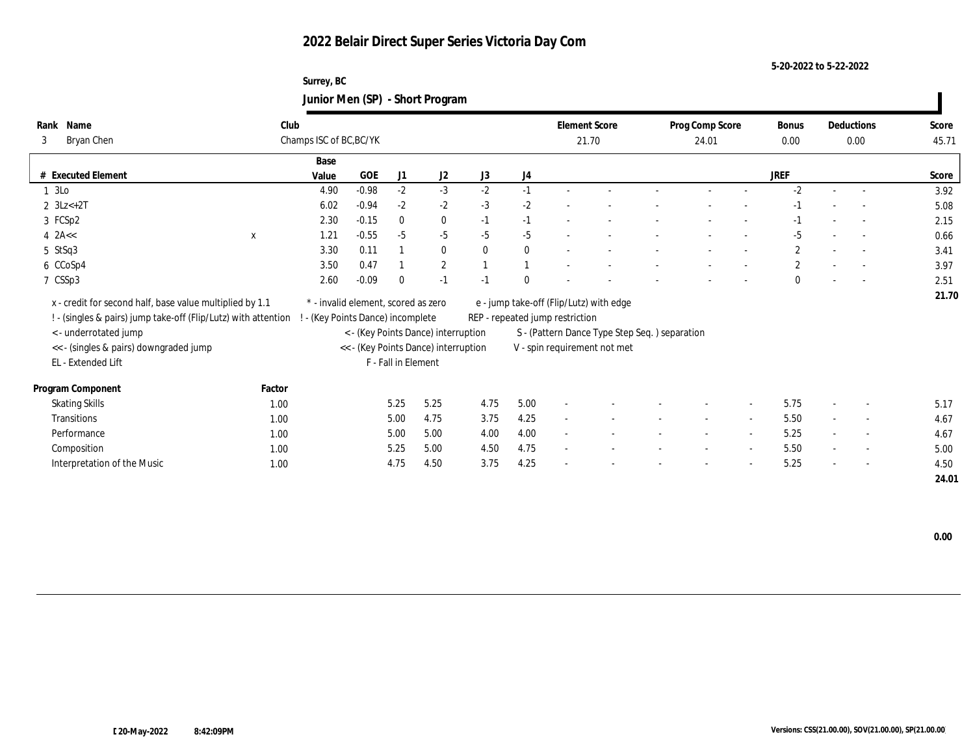**Surrey, BC Junior Men (SP) - Short Program**

| Name<br>Rank<br>Bryan Chen<br>3                                | Club<br>Champs ISC of BC, BC/YK |                                     |                     |                                      |              |                                                                               | <b>Element Score</b>            |                                         |  | Prog Comp Score | Bonus<br>0.00            |              | Deductions<br>0.00       | Score<br>45.71           |       |
|----------------------------------------------------------------|---------------------------------|-------------------------------------|---------------------|--------------------------------------|--------------|-------------------------------------------------------------------------------|---------------------------------|-----------------------------------------|--|-----------------|--------------------------|--------------|--------------------------|--------------------------|-------|
|                                                                |                                 |                                     |                     |                                      |              |                                                                               | 21.70                           |                                         |  | 24.01           |                          |              |                          |                          |       |
|                                                                | Base                            |                                     |                     |                                      |              |                                                                               |                                 |                                         |  |                 |                          |              |                          |                          |       |
| # Executed Element                                             | Value                           | <b>GOE</b>                          | J1                  | J2                                   | J3           | J4                                                                            |                                 |                                         |  |                 |                          | <b>JREF</b>  |                          |                          | Score |
| 1 3Lo                                                          | 4.90                            | $-0.98$                             | $-2$                | $-3$                                 | $-2$         | $-1$                                                                          |                                 |                                         |  |                 |                          | $-2$         | $\sim$                   | $\overline{\phantom{a}}$ | 3.92  |
| 2 $3Lz+2T$                                                     | 6.02                            | $-0.94$                             | $-2$                | $-2$                                 | $-3$         | $-2$                                                                          |                                 |                                         |  |                 |                          |              |                          |                          | 5.08  |
| 3 FCSp2                                                        | 2.30                            | $-0.15$                             | $\bf{0}$            | $\bf{0}$                             | $-1$         | $-1$                                                                          |                                 |                                         |  |                 |                          | $-1$         |                          |                          | 2.15  |
| $4$ 2A <<<br>X                                                 | 1.21                            | $-0.55$                             | $-5$                | $-5$                                 | $-5$         | $-5$                                                                          |                                 |                                         |  |                 |                          | $-5$         |                          |                          | 0.66  |
| 5 StSq3                                                        | 3.30                            | 0.11                                |                     | $\bf{0}$                             | $\mathbf{0}$ | $\mathbf{0}$                                                                  |                                 |                                         |  |                 |                          | $\mathbf{2}$ |                          | $\overline{\phantom{a}}$ | 3.41  |
| 6 CCoSp4                                                       | 3.50                            | 0.47                                |                     | $\mathbf{2}$                         |              |                                                                               |                                 |                                         |  |                 |                          | $\mathbf{2}$ |                          | $\sim$                   | 3.97  |
| 7 CSSp3                                                        | 2.60                            | $-0.09$                             | $\Omega$            | $-1$                                 | $-1$         | $\Omega$                                                                      |                                 |                                         |  |                 |                          | $\Omega$     |                          | $\overline{\phantom{a}}$ | 2.51  |
| x - credit for second half, base value multiplied by 1.1       |                                 | * - invalid element, scored as zero |                     |                                      |              |                                                                               |                                 | e - jump take-off (Flip/Lutz) with edge |  |                 |                          |              |                          |                          | 21.70 |
|                                                                |                                 |                                     |                     |                                      |              |                                                                               |                                 |                                         |  |                 |                          |              |                          |                          |       |
| ! - (singles & pairs) jump take-off (Flip/Lutz) with attention |                                 | (Key Points Dance) incomplete       |                     |                                      |              |                                                                               | REP - repeated jump restriction |                                         |  |                 |                          |              |                          |                          |       |
| < - underrotated jump                                          |                                 |                                     |                     | < - (Key Points Dance) interruption  |              | S - (Pattern Dance Type Step Seq.) separation<br>V - spin requirement not met |                                 |                                         |  |                 |                          |              |                          |                          |       |
| << - (singles & pairs) downgraded jump                         |                                 |                                     |                     | << - (Key Points Dance) interruption |              |                                                                               |                                 |                                         |  |                 |                          |              |                          |                          |       |
| EL - Extended Lift                                             |                                 |                                     | F - Fall in Element |                                      |              |                                                                               |                                 |                                         |  |                 |                          |              |                          |                          |       |
| Program Component                                              | Factor                          |                                     |                     |                                      |              |                                                                               |                                 |                                         |  |                 |                          |              |                          |                          |       |
| <b>Skating Skills</b>                                          | 1.00                            |                                     | 5.25                | 5.25                                 | 4.75         | 5.00                                                                          |                                 |                                         |  |                 |                          | 5.75         |                          | $\overline{\phantom{a}}$ | 5.17  |
| Transitions                                                    | 1.00                            |                                     | 5.00                | 4.75                                 | 3.75         | 4.25                                                                          | $\sim$                          |                                         |  | $\sim$          | $\sim$                   | 5.50         | $\sim$                   | $\overline{\phantom{a}}$ | 4.67  |
| Performance                                                    | 1.00                            |                                     | 5.00                | 5.00                                 | 4.00         | 4.00                                                                          |                                 |                                         |  |                 | $\overline{\phantom{a}}$ | 5.25         |                          | $\overline{\phantom{a}}$ | 4.67  |
| Composition                                                    | 1.00                            |                                     | 5.25                | 5.00                                 | 4.50         | 4.75                                                                          |                                 |                                         |  |                 | $\sim$                   | 5.50         | $\overline{\phantom{a}}$ | $\sim$                   | 5.00  |
| Interpretation of the Music                                    | 1.00                            |                                     | 4.75                | 4.50                                 | 3.75         | 4.25                                                                          |                                 |                                         |  |                 | $\overline{\phantom{a}}$ | 5.25         | $\sim$                   | $\overline{\phantom{a}}$ | 4.50  |
|                                                                |                                 |                                     |                     |                                      |              |                                                                               |                                 |                                         |  |                 |                          |              |                          |                          | 24.01 |

 **0.00**